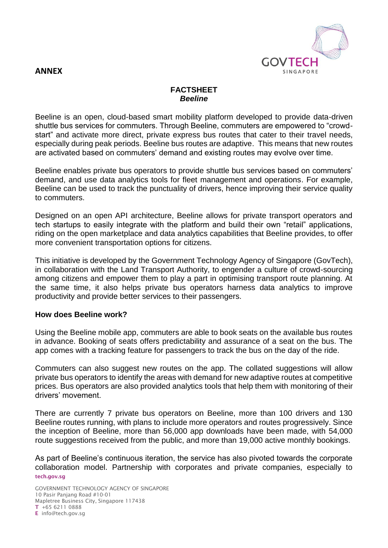

## **ANNEX**

### **FACTSHEET** *Beeline*

Beeline is an open, cloud-based smart mobility platform developed to provide data-driven shuttle bus services for commuters. Through Beeline, commuters are empowered to "crowdstart" and activate more direct, private express bus routes that cater to their travel needs, especially during peak periods. Beeline bus routes are adaptive. This means that new routes are activated based on commuters' demand and existing routes may evolve over time.

Beeline enables private bus operators to provide shuttle bus services based on commuters' demand, and use data analytics tools for fleet management and operations. For example, Beeline can be used to track the punctuality of drivers, hence improving their service quality to commuters.

Designed on an open API architecture, Beeline allows for private transport operators and tech startups to easily integrate with the platform and build their own "retail" applications, riding on the open marketplace and data analytics capabilities that Beeline provides, to offer more convenient transportation options for citizens.

This initiative is developed by the Government Technology Agency of Singapore (GovTech), in collaboration with the Land Transport Authority, to engender a culture of crowd-sourcing among citizens and empower them to play a part in optimising transport route planning. At the same time, it also helps private bus operators harness data analytics to improve productivity and provide better services to their passengers.

### **How does Beeline work?**

Using the Beeline mobile app, commuters are able to book seats on the available bus routes in advance. Booking of seats offers predictability and assurance of a seat on the bus. The app comes with a tracking feature for passengers to track the bus on the day of the ride.

Commuters can also suggest new routes on the app. The collated suggestions will allow private bus operators to identify the areas with demand for new adaptive routes at competitive prices. Bus operators are also provided analytics tools that help them with monitoring of their drivers' movement.

There are currently 7 private bus operators on Beeline, more than 100 drivers and 130 Beeline routes running, with plans to include more operators and routes progressively. Since the inception of Beeline, more than 56,000 app downloads have been made, with 54,000 route suggestions received from the public, and more than 19,000 active monthly bookings.

**tech.gov.sg**  As part of Beeline's continuous iteration, the service has also pivoted towards the corporate collaboration model. Partnership with corporates and private companies, especially to

GOVERNMENT TECHNOLOGY AGENCY OF SINGAPORE 10 Pasir Panjang Road #10-01 Mapletree Business City, Singapore 117438 **T** +65 6211 0888 **E** info@tech.gov.sg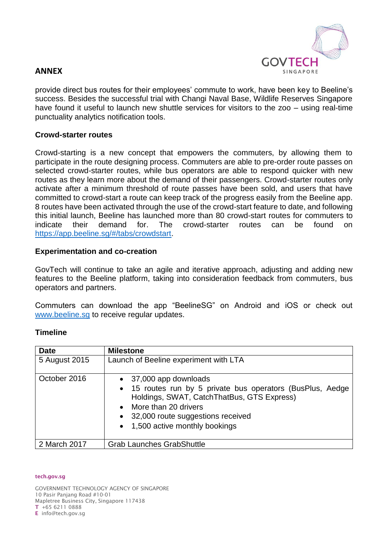

# **ANNEX**

provide direct bus routes for their employees' commute to work, have been key to Beeline's success. Besides the successful trial with Changi Naval Base, Wildlife Reserves Singapore have found it useful to launch new shuttle services for visitors to the zoo – using real-time punctuality analytics notification tools.

### **Crowd-starter routes**

Crowd-starting is a new concept that empowers the commuters, by allowing them to participate in the route designing process. Commuters are able to pre-order route passes on selected crowd-starter routes, while bus operators are able to respond quicker with new routes as they learn more about the demand of their passengers. Crowd-starter routes only activate after a minimum threshold of route passes have been sold, and users that have committed to crowd-start a route can keep track of the progress easily from the Beeline app. 8 routes have been activated through the use of the crowd-start feature to date, and following this initial launch, Beeline has launched more than 80 crowd-start routes for commuters to indicate their demand for. The crowd-starter routes can be found on [https://app.beeline.sg/#/tabs/crowdstart.](https://app.beeline.sg/#/tabs/crowdstart)

#### **Experimentation and co-creation**

GovTech will continue to take an agile and iterative approach, adjusting and adding new features to the Beeline platform, taking into consideration feedback from commuters, bus operators and partners.

Commuters can download the app "BeelineSG" on Android and iOS or check out [www.beeline.sg](http://www.beeline.sg/) to receive regular updates.

### **Timeline**

| <b>Date</b>   | <b>Milestone</b>                                                                                                                                                                                                                                  |
|---------------|---------------------------------------------------------------------------------------------------------------------------------------------------------------------------------------------------------------------------------------------------|
| 5 August 2015 | Launch of Beeline experiment with LTA                                                                                                                                                                                                             |
| October 2016  | • 37,000 app downloads<br>• 15 routes run by 5 private bus operators (BusPlus, Aedge<br>Holdings, SWAT, CatchThatBus, GTS Express)<br>More than 20 drivers<br>$\bullet$<br>• 32,000 route suggestions received<br>• 1,500 active monthly bookings |
| 2 March 2017  | <b>Grab Launches GrabShuttle</b>                                                                                                                                                                                                                  |

#### **tech.gov.sg**

GOVERNMENT TECHNOLOGY AGENCY OF SINGAPORE 10 Pasir Panjang Road #10-01 Mapletree Business City, Singapore 117438 **T** +65 6211 0888 **E** info@tech.gov.sg